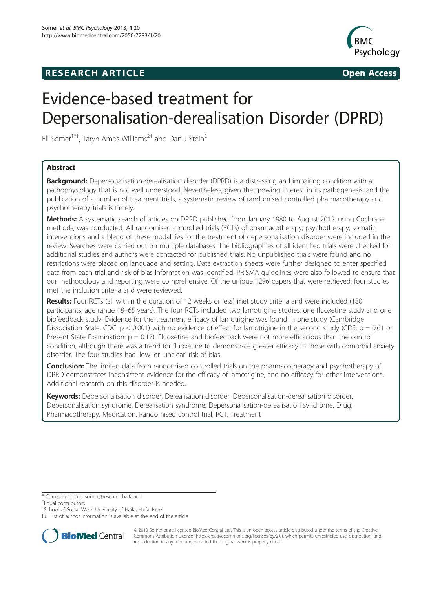## **RESEARCH ARTICLE Example 2008 CONSIDERING CONSIDERING CONSIDERING CONSIDERING CONSIDERING CONSIDERING CONSIDERING CONSIDERING CONSIDERING CONSIDERING CONSIDERING CONSIDERING CONSIDERING CONSIDERING CONSIDERING CONSIDE**



# Evidence-based treatment for Depersonalisation-derealisation Disorder (DPRD)

Eli Somer<sup>1\*†</sup>, Taryn Amos-Williams<sup>2†</sup> and Dan J Stein<sup>2</sup>

## Abstract

**Background:** Depersonalisation-derealisation disorder (DPRD) is a distressing and impairing condition with a pathophysiology that is not well understood. Nevertheless, given the growing interest in its pathogenesis, and the publication of a number of treatment trials, a systematic review of randomised controlled pharmacotherapy and psychotherapy trials is timely.

Methods: A systematic search of articles on DPRD published from January 1980 to August 2012, using Cochrane methods, was conducted. All randomised controlled trials (RCTs) of pharmacotherapy, psychotherapy, somatic interventions and a blend of these modalities for the treatment of depersonalisation disorder were included in the review. Searches were carried out on multiple databases. The bibliographies of all identified trials were checked for additional studies and authors were contacted for published trials. No unpublished trials were found and no restrictions were placed on language and setting. Data extraction sheets were further designed to enter specified data from each trial and risk of bias information was identified. PRISMA guidelines were also followed to ensure that our methodology and reporting were comprehensive. Of the unique 1296 papers that were retrieved, four studies met the inclusion criteria and were reviewed.

Results: Four RCTs (all within the duration of 12 weeks or less) met study criteria and were included (180 participants; age range 18–65 years). The four RCTs included two lamotrigine studies, one fluoxetine study and one biofeedback study. Evidence for the treatment efficacy of lamotrigine was found in one study (Cambridge Dissociation Scale, CDC:  $p < 0.001$ ) with no evidence of effect for lamotrigine in the second study (CDS:  $p = 0.61$  or Present State Examination:  $p = 0.17$ ). Fluoxetine and biofeedback were not more efficacious than the control condition, although there was a trend for fluoxetine to demonstrate greater efficacy in those with comorbid anxiety disorder. The four studies had 'low' or 'unclear' risk of bias.

Conclusion: The limited data from randomised controlled trials on the pharmacotherapy and psychotherapy of DPRD demonstrates inconsistent evidence for the efficacy of lamotrigine, and no efficacy for other interventions. Additional research on this disorder is needed.

Keywords: Depersonalisation disorder, Derealisation disorder, Depersonalisation-derealisation disorder, Depersonalisation syndrome, Derealisation syndrome, Depersonalisation-derealisation syndrome, Drug, Pharmacotherapy, Medication, Randomised control trial, RCT, Treatment

\* Correspondence: [somer@research.haifa.ac.il](mailto:somer@research.haifa.ac.il) †

<sup>+</sup>Equal contributors

<sup>1</sup>School of Social Work, University of Haifa, Haifa, Israel

Full list of author information is available at the end of the article



© 2013 Somer et al.; licensee BioMed Central Ltd. This is an open access article distributed under the terms of the Creative Commons Attribution License [\(http://creativecommons.org/licenses/by/2.0\)](http://creativecommons.org/licenses/by/2.0), which permits unrestricted use, distribution, and reproduction in any medium, provided the original work is properly cited.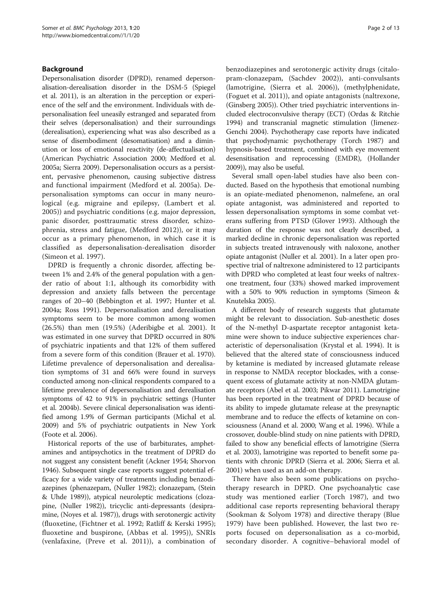## Background

Depersonalisation disorder (DPRD), renamed depersonalisation-derealisation disorder in the DSM-5 (Spiegel et al. [2011](#page-12-0)), is an alteration in the perception or experience of the self and the environment. Individuals with depersonalisation feel uneasily estranged and separated from their selves (depersonalisation) and their surroundings (derealisation), experiencing what was also described as a sense of disembodiment (desomatisation) and a diminution or loss of emotional reactivity (de-affectualisation) (American Psychiatric Association [2000](#page-11-0); Medford et al. [2005a](#page-11-0); Sierra [2009\)](#page-12-0). Depersonalisation occurs as a persistent, pervasive phenomenon, causing subjective distress and functional impairment (Medford et al. [2005a](#page-11-0)). Depersonalisation symptoms can occur in many neurological (e.g. migraine and epilepsy, (Lambert et al. [2005\)](#page-11-0)) and psychiatric conditions (e.g. major depression, panic disorder, posttraumatic stress disorder, schizophrenia, stress and fatigue, (Medford [2012](#page-11-0))), or it may occur as a primary phenomenon, in which case it is classified as depersonalisation-derealisation disorder (Simeon et al. [1997](#page-12-0)).

DPRD is frequently a chronic disorder, affecting between 1% and 2.4% of the general population with a gender ratio of about 1:1, although its comorbidity with depression and anxiety falls between the percentage ranges of 20–40 (Bebbington et al. [1997](#page-11-0); Hunter et al. [2004a;](#page-11-0) Ross [1991\)](#page-12-0). Depersonalisation and derealisation symptoms seem to be more common among women (26.5%) than men (19.5%) (Aderibigbe et al. [2001\)](#page-11-0). It was estimated in one survey that DPRD occurred in 80% of psychiatric inpatients and that 12% of them suffered from a severe form of this condition (Brauer et al. [1970](#page-11-0)). Lifetime prevalence of depersonalisation and derealisation symptoms of 31 and 66% were found in surveys conducted among non-clinical respondents compared to a lifetime prevalence of depersonalisation and derealisation symptoms of 42 to 91% in psychiatric settings (Hunter et al. [2004b\)](#page-11-0). Severe clinical depersonalisation was identified among 1.9% of German participants (Michal et al. [2009\)](#page-12-0) and 5% of psychiatric outpatients in New York (Foote et al. [2006\)](#page-11-0).

Historical reports of the use of barbiturates, amphetamines and antipsychotics in the treatment of DPRD do not suggest any consistent benefit (Ackner [1954](#page-11-0); Shorvon [1946\)](#page-12-0). Subsequent single case reports suggest potential efficacy for a wide variety of treatments including benzodiazepines (phenazepam, (Nuller [1982](#page-12-0)); clonazepam, (Stein & Uhde [1989\)](#page-12-0)), atypical neuroleptic medications (clozapine, (Nuller [1982\)](#page-12-0)), tricyclic anti-depressants (desipramine, (Noyes et al. [1987](#page-12-0))), drugs with serotonergic activity (fluoxetine, (Fichtner et al. [1992](#page-11-0); Ratliff & Kerski [1995](#page-12-0)); fluoxetine and buspirone, (Abbas et al. [1995](#page-11-0))), SNRIs (venlafaxine, (Preve et al. [2011\)](#page-12-0)), a combination of benzodiazepines and serotonergic activity drugs (citalopram-clonazepam, (Sachdev [2002\)](#page-12-0)), anti-convulsants (lamotrigine, (Sierra et al. [2006](#page-12-0))), (methylphenidate, (Foguet et al. [2011\)](#page-11-0)), and opiate antagonists (naltrexone, (Ginsberg [2005](#page-11-0))). Other tried psychiatric interventions included electroconvulsive therapy (ECT) (Ordas & Ritchie [1994\)](#page-12-0) and transcranial magnetic stimulation (Jimenez-Genchi [2004\)](#page-11-0). Psychotherapy case reports have indicated that psychodynamic psychotherapy (Torch [1987\)](#page-12-0) and hypnosis-based treatment, combined with eye movement desensitisation and reprocessing (EMDR), (Hollander [2009\)](#page-11-0)), may also be useful.

Several small open-label studies have also been conducted. Based on the hypothesis that emotional numbing is an opiate-mediated phenomenon, nalmefene, an oral opiate antagonist, was administered and reported to lessen depersonalisation symptoms in some combat veterans suffering from PTSD (Glover [1993\)](#page-11-0). Although the duration of the response was not clearly described, a marked decline in chronic depersonalisation was reported in subjects treated intravenously with naloxone, another opiate antagonist (Nuller et al. [2001](#page-12-0)). In a later open prospective trial of naltrexone administered to 12 participants with DPRD who completed at least four weeks of naltrexone treatment, four (33%) showed marked improvement with a 50% to 90% reduction in symptoms (Simeon & Knutelska [2005](#page-12-0)).

A different body of research suggests that glutamate might be relevant to dissociation. Sub-anesthetic doses of the N-methyl D-aspartate receptor antagonist ketamine were shown to induce subjective experiences characteristic of depersonalisation (Krystal et al. [1994](#page-11-0)). It is believed that the altered state of consciousness induced by ketamine is mediated by increased glutamate release in response to NMDA receptor blockades, with a consequent excess of glutamate activity at non-NMDA glutamate receptors (Abel et al. [2003](#page-11-0); Pikwar [2011](#page-12-0)). Lamotrigine has been reported in the treatment of DPRD because of its ability to impede glutamate release at the presynaptic membrane and to reduce the effects of ketamine on consciousness (Anand et al. [2000](#page-11-0); Wang et al. [1996](#page-12-0)). While a crossover, double-blind study on nine patients with DPRD, failed to show any beneficial effects of lamotrigine (Sierra et al. [2003\)](#page-12-0), lamotrigine was reported to benefit some patients with chronic DPRD (Sierra et al. [2006](#page-12-0); Sierra et al. [2001\)](#page-12-0) when used as an add-on therapy.

There have also been some publications on psychotherapy research in DPRD. One psychoanalytic case study was mentioned earlier (Torch [1987\)](#page-12-0), and two additional case reports representing behavioral therapy (Sookman & Solyom [1978](#page-12-0)) and directive therapy (Blue [1979\)](#page-11-0) have been published. However, the last two reports focused on depersonalisation as a co-morbid, secondary disorder. A cognitive–behavioral model of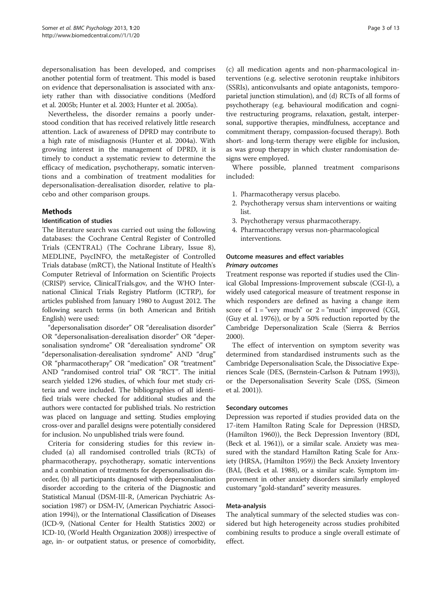depersonalisation has been developed, and comprises another potential form of treatment. This model is based on evidence that depersonalisation is associated with anxiety rather than with dissociative conditions (Medford et al. [2005b;](#page-11-0) Hunter et al. [2003;](#page-11-0) Hunter et al. [2005a](#page-11-0)).

Nevertheless, the disorder remains a poorly understood condition that has received relatively little research attention. Lack of awareness of DPRD may contribute to a high rate of misdiagnosis (Hunter et al. [2004a](#page-11-0)). With growing interest in the management of DPRD, it is timely to conduct a systematic review to determine the efficacy of medication, psychotherapy, somatic interventions and a combination of treatment modalities for depersonalisation-derealisation disorder, relative to placebo and other comparison groups.

## Methods

## Identification of studies

The literature search was carried out using the following databases: the Cochrane Central Register of Controlled Trials (CENTRAL) (The Cochrane Library, Issue 8), MEDLINE, PsycINFO, the metaRegister of Controlled Trials database (mRCT), the National Institute of Health's Computer Retrieval of Information on Scientific Projects (CRISP) service, ClinicalTrials.gov, and the WHO International Clinical Trials Registry Platform (ICTRP), for articles published from January 1980 to August 2012. The following search terms (in both American and British English) were used:

"depersonalisation disorder" OR "derealisation disorder" OR "depersonalisation-derealisation disorder" OR "depersonalisation syndrome" OR "derealisation syndrome" OR "depersonalisation-derealisation syndrome" AND "drug" OR "pharmacotherapy" OR "medication" OR "treatment" AND "randomised control trial" OR "RCT". The initial search yielded 1296 studies, of which four met study criteria and were included. The bibliographies of all identified trials were checked for additional studies and the authors were contacted for published trials. No restriction was placed on language and setting. Studies employing cross-over and parallel designs were potentially considered for inclusion. No unpublished trials were found.

Criteria for considering studies for this review included (a) all randomised controlled trials (RCTs) of pharmacotherapy, psychotherapy, somatic interventions and a combination of treatments for depersonalisation disorder, (b) all participants diagnosed with depersonalisation disorder according to the criteria of the Diagnostic and Statistical Manual (DSM-III-R, (American Psychiatric Association [1987](#page-11-0)) or DSM-IV, (American Psychiatric Association [1994\)](#page-11-0)), or the International Classification of Diseases (ICD-9, (National Center for Health Statistics [2002\)](#page-12-0) or ICD-10, (World Health Organization [2008\)](#page-12-0)) irrespective of age, in- or outpatient status, or presence of comorbidity, (c) all medication agents and non-pharmacological interventions (e.g. selective serotonin reuptake inhibitors (SSRIs), anticonvulsants and opiate antagonists, temporoparietal junction stimulation), and (d) RCTs of all forms of psychotherapy (e.g. behavioural modification and cognitive restructuring programs, relaxation, gestalt, interpersonal, supportive therapies, mindfulness, acceptance and commitment therapy, compassion-focused therapy). Both short- and long-term therapy were eligible for inclusion,

signs were employed. Where possible, planned treatment comparisons included:

as was group therapy in which cluster randomisation de-

- 
- $\frac{1}{2}$ . Peychotherapy versus sham inter- $\frac{1}{2}$ . Psychotherapy versus shame interventions or waiting  $\frac{1}{2}$
- 3. Psychotherapy versus pharmacotherapy.
- 4. Pharmacotherapy versus non-pharmacological interventions.

## Outcome measures and effect variables Primary outcomes

Treatment response was reported if studies used the Clinical Global Impressions-Improvement subscale (CGI-I), a widely used categorical measure of treatment response in which responders are defined as having a change item score of  $1 =$  "very much" or  $2 =$  "much" improved (CGI, (Guy et al. [1976](#page-11-0))), or by a 50% reduction reported by the Cambridge Depersonalization Scale (Sierra & Berrios [2000](#page-12-0)).

The effect of intervention on symptom severity was determined from standardised instruments such as the Cambridge Depersonalisation Scale, the Dissociative Experiences Scale (DES, (Bernstein-Carlson & Putnam [1993](#page-11-0))), or the Depersonalisation Severity Scale (DSS, (Simeon et al. [2001](#page-12-0))).

## Secondary outcomes

Depression was reported if studies provided data on the 17-item Hamilton Rating Scale for Depression (HRSD, (Hamilton [1960\)](#page-11-0)), the Beck Depression Inventory (BDI, (Beck et al. [1961\)](#page-11-0)), or a similar scale. Anxiety was measured with the standard Hamilton Rating Scale for Anxiety (HRSA, (Hamilton [1959](#page-11-0))) the Beck Anxiety Inventory (BAI, (Beck et al. [1988\)](#page-11-0), or a similar scale. Symptom improvement in other anxiety disorders similarly employed customary "gold-standard" severity measures.

## Meta-analysis

The analytical summary of the selected studies was considered but high heterogeneity across studies prohibited combining results to produce a single overall estimate of effect.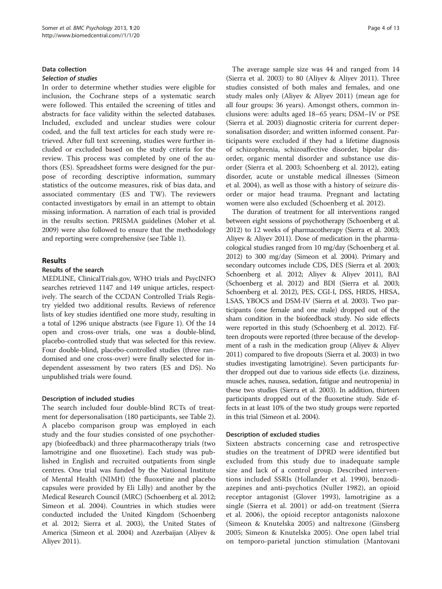#### Data collection Selection of studies

In order to determine whether studies were eligible for inclusion, the Cochrane steps of a systematic search were followed. This entailed the screening of titles and abstracts for face validity within the selected databases. Included, excluded and unclear studies were colour coded, and the full text articles for each study were retrieved. After full text screening, studies were further included or excluded based on the study criteria for the review. This process was completed by one of the authors (ES). Spreadsheet forms were designed for the purpose of recording descriptive information, summary statistics of the outcome measures, risk of bias data, and associated commentary (ES and TW). The reviewers contacted investigators by email in an attempt to obtain missing information. A narration of each trial is provided in the results section. PRISMA guidelines (Moher et al. [2009\)](#page-12-0) were also followed to ensure that the methodology and reporting were comprehensive (see Table [1](#page-4-0)).

## Results

## Results of the search

MEDLINE, ClinicalTrials.gov, WHO trials and PsycINFO searches retrieved 1147 and 149 unique articles, respectively. The search of the CCDAN Controlled Trials Registry yielded two additional results. Reviews of reference lists of key studies identified one more study, resulting in a total of 1296 unique abstracts (see Figure [1](#page-7-0)). Of the 14 open and cross-over trials, one was a double-blind, placebo-controlled study that was selected for this review. Four double-blind, placebo-controlled studies (three randomised and one cross-over) were finally selected for independent assessment by two raters (ES and DS). No unpublished trials were found.

## Description of included studies

The search included four double-blind RCTs of treatment for depersonalisation (180 participants, see Table [2](#page-8-0)). A placebo comparison group was employed in each study and the four studies consisted of one psychotherapy (biofeedback) and three pharmacotherapy trials (two lamotrigine and one fluoxetine). Each study was published in English and recruited outpatients from single centres. One trial was funded by the National Institute of Mental Health (NIMH) (the fluoxetine and placebo capsules were provided by Eli Lilly) and another by the Medical Research Council (MRC) (Schoenberg et al. [2012](#page-12-0); Simeon et al. [2004](#page-12-0)). Countries in which studies were conducted included the United Kingdom (Schoenberg et al. [2012](#page-12-0); Sierra et al. [2003\)](#page-12-0), the United States of America (Simeon et al. [2004\)](#page-12-0) and Azerbaijan (Aliyev & Aliyev [2011\)](#page-11-0).

The average sample size was 44 and ranged from 14 (Sierra et al. [2003\)](#page-12-0) to 80 (Aliyev & Aliyev [2011](#page-11-0)). Three studies consisted of both males and females, and one study males only (Aliyev & Aliyev [2011\)](#page-11-0) (mean age for all four groups: 36 years). Amongst others, common inclusions were: adults aged 18–65 years; DSM–IV or PSE (Sierra et al. [2003\)](#page-12-0) diagnostic criteria for current depersonalisation disorder; and written informed consent. Participants were excluded if they had a lifetime diagnosis of schizophrenia, schizoaffective disorder, bipolar disorder, organic mental disorder and substance use disorder (Sierra et al. [2003](#page-12-0); Schoenberg et al. [2012](#page-12-0)), eating disorder, acute or unstable medical illnesses (Simeon et al. [2004\)](#page-12-0), as well as those with a history of seizure disorder or major head trauma. Pregnant and lactating women were also excluded (Schoenberg et al. [2012\)](#page-12-0).

The duration of treatment for all interventions ranged between eight sessions of psychotherapy (Schoenberg et al. [2012\)](#page-12-0) to 12 weeks of pharmacotherapy (Sierra et al. [2003](#page-12-0); Aliyev & Aliyev [2011](#page-11-0)). Dose of medication in the pharmacological studies ranged from 10 mg/day (Schoenberg et al. [2012\)](#page-12-0) to 300 mg/day (Simeon et al. [2004](#page-12-0)). Primary and secondary outcomes include CDS, DES (Sierra et al. [2003](#page-12-0); Schoenberg et al. [2012](#page-12-0); Aliyev & Aliyev [2011\)](#page-11-0), BAI (Schoenberg et al. [2012\)](#page-12-0) and BDI (Sierra et al. [2003](#page-12-0); Schoenberg et al. [2012](#page-12-0)), PES, CGI-I, DSS, HRDS, HRSA, LSAS, YBOCS and DSM-IV (Sierra et al. [2003](#page-12-0)). Two participants (one female and one male) dropped out of the sham condition in the biofeedback study. No side effects were reported in this study (Schoenberg et al. [2012\)](#page-12-0). Fifteen dropouts were reported (three because of the development of a rash in the medication group (Aliyev & Aliyev [2011\)](#page-11-0) compared to five dropouts (Sierra et al. [2003](#page-12-0)) in two studies investigating lamotrigine). Seven participants further dropped out due to various side effects (i.e. dizziness, muscle aches, nausea, sedation, fatigue and neutropenia) in these two studies (Sierra et al. [2003](#page-12-0)). In addition, thirteen participants dropped out of the fluoxetine study. Side effects in at least 10% of the two study groups were reported in this trial (Simeon et al. [2004\)](#page-12-0).

## Description of excluded studies

Sixteen abstracts concerning case and retrospective studies on the treatment of DPRD were identified but excluded from this study due to inadequate sample size and lack of a control group. Described interventions included SSRIs (Hollander et al. [1990](#page-11-0)), benzodiazepines and anti-psychotics (Nuller [1982](#page-12-0)), an opioid receptor antagonist (Glover [1993](#page-11-0)), lamotrigine as a single (Sierra et al. [2001\)](#page-12-0) or add-on treatment (Sierra et al. [2006](#page-12-0)), the opioid receptor antagonists naloxone (Simeon & Knutelska [2005](#page-12-0)) and naltrexone (Ginsberg [2005;](#page-11-0) Simeon & Knutelska [2005\)](#page-12-0). One open label trial on temporo-parietal junction stimulation (Mantovani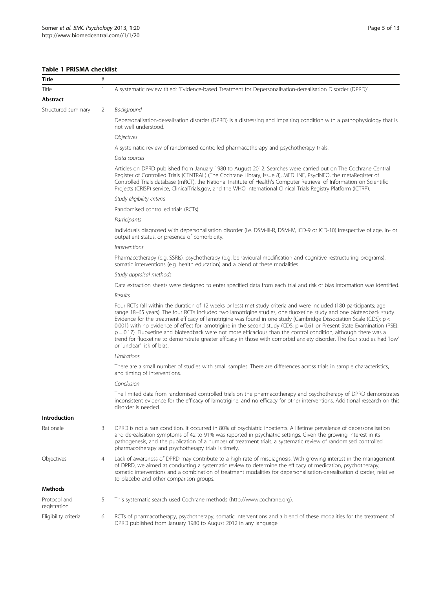## <span id="page-4-0"></span>Table 1 PRISMA checklist

| Title                        | $\#$                                                                                                                                                                                                                                                                                                                                                                                                                     |                                                                                                                                                                                                                                                                                                                                                                                                                                                                                                                                                                                                                                                                                                                                                                                 |  |  |  |
|------------------------------|--------------------------------------------------------------------------------------------------------------------------------------------------------------------------------------------------------------------------------------------------------------------------------------------------------------------------------------------------------------------------------------------------------------------------|---------------------------------------------------------------------------------------------------------------------------------------------------------------------------------------------------------------------------------------------------------------------------------------------------------------------------------------------------------------------------------------------------------------------------------------------------------------------------------------------------------------------------------------------------------------------------------------------------------------------------------------------------------------------------------------------------------------------------------------------------------------------------------|--|--|--|
| Title                        | 1                                                                                                                                                                                                                                                                                                                                                                                                                        | A systematic review titled: "Evidence-based Treatment for Depersonalisation-derealisation Disorder (DPRD)".                                                                                                                                                                                                                                                                                                                                                                                                                                                                                                                                                                                                                                                                     |  |  |  |
| Abstract                     |                                                                                                                                                                                                                                                                                                                                                                                                                          |                                                                                                                                                                                                                                                                                                                                                                                                                                                                                                                                                                                                                                                                                                                                                                                 |  |  |  |
| Structured summary           | 2                                                                                                                                                                                                                                                                                                                                                                                                                        | Background                                                                                                                                                                                                                                                                                                                                                                                                                                                                                                                                                                                                                                                                                                                                                                      |  |  |  |
|                              |                                                                                                                                                                                                                                                                                                                                                                                                                          | Depersonalisation-derealisation disorder (DPRD) is a distressing and impairing condition with a pathophysiology that is<br>not well understood.                                                                                                                                                                                                                                                                                                                                                                                                                                                                                                                                                                                                                                 |  |  |  |
|                              |                                                                                                                                                                                                                                                                                                                                                                                                                          | Objectives                                                                                                                                                                                                                                                                                                                                                                                                                                                                                                                                                                                                                                                                                                                                                                      |  |  |  |
|                              |                                                                                                                                                                                                                                                                                                                                                                                                                          | A systematic review of randomised controlled pharmacotherapy and psychotherapy trials.                                                                                                                                                                                                                                                                                                                                                                                                                                                                                                                                                                                                                                                                                          |  |  |  |
|                              |                                                                                                                                                                                                                                                                                                                                                                                                                          | Data sources                                                                                                                                                                                                                                                                                                                                                                                                                                                                                                                                                                                                                                                                                                                                                                    |  |  |  |
|                              |                                                                                                                                                                                                                                                                                                                                                                                                                          | Articles on DPRD published from January 1980 to August 2012. Searches were carried out on The Cochrane Central<br>Register of Controlled Trials (CENTRAL) (The Cochrane Library, Issue 8), MEDLINE, PsycINFO, the metaRegister of<br>Controlled Trials database (mRCT), the National Institute of Health's Computer Retrieval of Information on Scientific<br>Projects (CRISP) service, ClinicalTrials.gov, and the WHO International Clinical Trials Registry Platform (ICTRP).                                                                                                                                                                                                                                                                                                |  |  |  |
|                              |                                                                                                                                                                                                                                                                                                                                                                                                                          | Study eligibility criteria                                                                                                                                                                                                                                                                                                                                                                                                                                                                                                                                                                                                                                                                                                                                                      |  |  |  |
|                              |                                                                                                                                                                                                                                                                                                                                                                                                                          | Randomised controlled trials (RCTs).                                                                                                                                                                                                                                                                                                                                                                                                                                                                                                                                                                                                                                                                                                                                            |  |  |  |
|                              |                                                                                                                                                                                                                                                                                                                                                                                                                          | Participants                                                                                                                                                                                                                                                                                                                                                                                                                                                                                                                                                                                                                                                                                                                                                                    |  |  |  |
|                              |                                                                                                                                                                                                                                                                                                                                                                                                                          | Individuals diagnosed with depersonalisation disorder (i.e. DSM-III-R, DSM-IV, ICD-9 or ICD-10) irrespective of age, in- or<br>outpatient status, or presence of comorbidity.                                                                                                                                                                                                                                                                                                                                                                                                                                                                                                                                                                                                   |  |  |  |
|                              |                                                                                                                                                                                                                                                                                                                                                                                                                          | Interventions                                                                                                                                                                                                                                                                                                                                                                                                                                                                                                                                                                                                                                                                                                                                                                   |  |  |  |
|                              |                                                                                                                                                                                                                                                                                                                                                                                                                          | Pharmacotherapy (e.g. SSRIs), psychotherapy (e.g. behavioural modification and cognitive restructuring programs),<br>somatic interventions (e.g. health education) and a blend of these modalities.                                                                                                                                                                                                                                                                                                                                                                                                                                                                                                                                                                             |  |  |  |
|                              |                                                                                                                                                                                                                                                                                                                                                                                                                          | Study appraisal methods                                                                                                                                                                                                                                                                                                                                                                                                                                                                                                                                                                                                                                                                                                                                                         |  |  |  |
|                              |                                                                                                                                                                                                                                                                                                                                                                                                                          | Data extraction sheets were designed to enter specified data from each trial and risk of bias information was identified.                                                                                                                                                                                                                                                                                                                                                                                                                                                                                                                                                                                                                                                       |  |  |  |
|                              |                                                                                                                                                                                                                                                                                                                                                                                                                          | Results                                                                                                                                                                                                                                                                                                                                                                                                                                                                                                                                                                                                                                                                                                                                                                         |  |  |  |
|                              |                                                                                                                                                                                                                                                                                                                                                                                                                          | Four RCTs (all within the duration of 12 weeks or less) met study criteria and were included (180 participants; age<br>range 18-65 years). The four RCTs included two lamotrigine studies, one fluoxetine study and one biofeedback study.<br>Evidence for the treatment efficacy of lamotrigine was found in one study (Cambridge Dissociation Scale (CDS): p <<br>0.001) with no evidence of effect for lamotrigine in the second study (CDS: $p = 0.61$ or Present State Examination (PSE):<br>$p = 0.17$ ). Fluoxetine and biofeedback were not more efficacious than the control condition, although there was a<br>trend for fluoxetine to demonstrate greater efficacy in those with comorbid anxiety disorder. The four studies had 'low'<br>or 'unclear' risk of bias. |  |  |  |
|                              |                                                                                                                                                                                                                                                                                                                                                                                                                          | Limitations                                                                                                                                                                                                                                                                                                                                                                                                                                                                                                                                                                                                                                                                                                                                                                     |  |  |  |
|                              |                                                                                                                                                                                                                                                                                                                                                                                                                          | There are a small number of studies with small samples. There are differences across trials in sample characteristics,<br>and timing of interventions.                                                                                                                                                                                                                                                                                                                                                                                                                                                                                                                                                                                                                          |  |  |  |
|                              |                                                                                                                                                                                                                                                                                                                                                                                                                          | Conclusion                                                                                                                                                                                                                                                                                                                                                                                                                                                                                                                                                                                                                                                                                                                                                                      |  |  |  |
|                              |                                                                                                                                                                                                                                                                                                                                                                                                                          | The limited data from randomised controlled trials on the pharmacotherapy and psychotherapy of DPRD demonstrates<br>inconsistent evidence for the efficacy of lamotrigine, and no efficacy for other interventions. Additional research on this<br>disorder is needed.                                                                                                                                                                                                                                                                                                                                                                                                                                                                                                          |  |  |  |
| Introduction                 |                                                                                                                                                                                                                                                                                                                                                                                                                          |                                                                                                                                                                                                                                                                                                                                                                                                                                                                                                                                                                                                                                                                                                                                                                                 |  |  |  |
| Rationale                    | DPRD is not a rare condition. It occurred in 80% of psychiatric inpatients. A lifetime prevalence of depersonalisation<br>3<br>and derealisation symptoms of 42 to 91% was reported in psychiatric settings. Given the growing interest in its<br>pathogenesis, and the publication of a number of treatment trials, a systematic review of randomised controlled<br>pharmacotherapy and psychotherapy trials is timely. |                                                                                                                                                                                                                                                                                                                                                                                                                                                                                                                                                                                                                                                                                                                                                                                 |  |  |  |
| Objectives                   | 4                                                                                                                                                                                                                                                                                                                                                                                                                        | Lack of awareness of DPRD may contribute to a high rate of misdiagnosis. With growing interest in the management<br>of DPRD, we aimed at conducting a systematic review to determine the efficacy of medication, psychotherapy,<br>somatic interventions and a combination of treatment modalities for depersonalisation-derealisation disorder, relative<br>to placebo and other comparison groups.                                                                                                                                                                                                                                                                                                                                                                            |  |  |  |
| Methods                      |                                                                                                                                                                                                                                                                                                                                                                                                                          |                                                                                                                                                                                                                                                                                                                                                                                                                                                                                                                                                                                                                                                                                                                                                                                 |  |  |  |
| Protocol and<br>registration | 5                                                                                                                                                                                                                                                                                                                                                                                                                        | This systematic search used Cochrane methods (http://www.cochrane.org).                                                                                                                                                                                                                                                                                                                                                                                                                                                                                                                                                                                                                                                                                                         |  |  |  |
| Eligibility criteria         | 6                                                                                                                                                                                                                                                                                                                                                                                                                        | RCTs of pharmacotherapy, psychotherapy, somatic interventions and a blend of these modalities for the treatment of                                                                                                                                                                                                                                                                                                                                                                                                                                                                                                                                                                                                                                                              |  |  |  |

DPRD published from January 1980 to August 2012 in any language.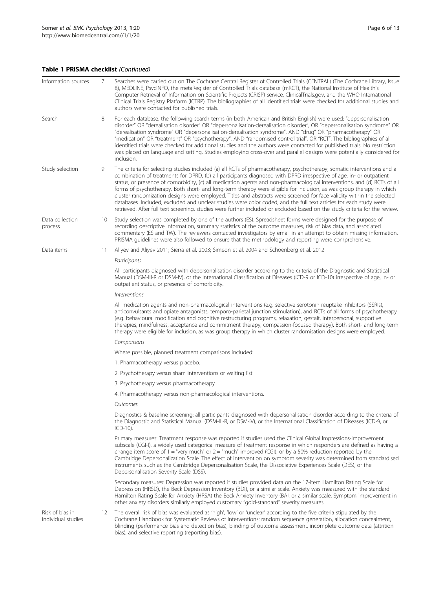## Table 1 PRISMA checklist (Continued)

| Information sources                   | 7  | Searches were carried out on The Cochrane Central Register of Controlled Trials (CENTRAL) (The Cochrane Library, Issue<br>8), MEDLINE, PsycINFO, the metaRegister of Controlled Trials database (mRCT), the National Institute of Health's<br>Computer Retrieval of Information on Scientific Projects (CRISP) service, ClinicalTrials.gov, and the WHO International<br>Clinical Trials Registry Platform (ICTRP). The bibliographies of all identified trials were checked for additional studies and<br>authors were contacted for published trials.                                                                                                                                                                                                                                                                                                                          |  |  |  |  |  |  |
|---------------------------------------|----|----------------------------------------------------------------------------------------------------------------------------------------------------------------------------------------------------------------------------------------------------------------------------------------------------------------------------------------------------------------------------------------------------------------------------------------------------------------------------------------------------------------------------------------------------------------------------------------------------------------------------------------------------------------------------------------------------------------------------------------------------------------------------------------------------------------------------------------------------------------------------------|--|--|--|--|--|--|
| Search                                | 8  | For each database, the following search terms (in both American and British English) were used: "depersonalisation<br>disorder" OR "derealisation disorder" OR "depersonalisation-derealisation disorder", OR "depersonalisation syndrome" OR<br>"derealisation syndrome" OR "depersonalisation-derealisation syndrome", AND "drug" OR "pharmacotherapy" OR<br>"medication" OR "treatment" OR "psychotherapy", AND "randomised control trial", OR "RCT". The bibliographies of all<br>identified trials were checked for additional studies and the authors were contacted for published trials. No restriction<br>was placed on language and setting. Studies employing cross-over and parallel designs were potentially considered for<br>inclusion.                                                                                                                           |  |  |  |  |  |  |
| Study selection                       | 9  | The criteria for selecting studies included (a) all RCTs of pharmacotherapy, psychotherapy, somatic interventions and a<br>combination of treatments for DPRD, (b) all participants diagnosed with DPRD irrespective of age, in- or outpatient<br>status, or presence of comorbidity, (c) all medication agents and non-pharmacological interventions, and (d) RCTs of all<br>forms of psychotherapy. Both short- and long-term therapy were eligible for inclusion, as was group therapy in which<br>cluster randomization designs were employed. Titles and abstracts were screened for face validity within the selected<br>databases. Included, excluded and unclear studies were color coded, and the full text articles for each study were<br>retrieved. After full text screening, studies were further included or excluded based on the study criteria for the review. |  |  |  |  |  |  |
| Data collection<br>process            | 10 | Study selection was completed by one of the authors (ES). Spreadsheet forms were designed for the purpose of<br>recording descriptive information, summary statistics of the outcome measures, risk of bias data, and associated<br>commentary (ES and TW). The reviewers contacted investigators by email in an attempt to obtain missing information.<br>PRISMA quidelines were also followed to ensure that the methodology and reporting were comprehensive.                                                                                                                                                                                                                                                                                                                                                                                                                 |  |  |  |  |  |  |
| Data items<br>11                      |    | Aliyev and Aliyev 2011; Sierra et al. 2003; Simeon et al. 2004 and Schoenberg et al. 2012                                                                                                                                                                                                                                                                                                                                                                                                                                                                                                                                                                                                                                                                                                                                                                                        |  |  |  |  |  |  |
|                                       |    | Participants                                                                                                                                                                                                                                                                                                                                                                                                                                                                                                                                                                                                                                                                                                                                                                                                                                                                     |  |  |  |  |  |  |
|                                       |    | All participants diagnosed with depersonalisation disorder according to the criteria of the Diagnostic and Statistical<br>Manual (DSM-III-R or DSM-IV), or the International Classification of Diseases (ICD-9 or ICD-10) irrespective of age, in- or<br>outpatient status, or presence of comorbidity.                                                                                                                                                                                                                                                                                                                                                                                                                                                                                                                                                                          |  |  |  |  |  |  |
|                                       |    | <i><u><b>Interventions</b></u></i>                                                                                                                                                                                                                                                                                                                                                                                                                                                                                                                                                                                                                                                                                                                                                                                                                                               |  |  |  |  |  |  |
|                                       |    | All medication agents and non-pharmacological interventions (e.g. selective serotonin reuptake inhibitors (SSRIs),<br>anticonvulsants and opiate antagonists, temporo-parietal junction stimulation), and RCTs of all forms of psychotherapy<br>(e.g. behavioural modification and cognitive restructuring programs, relaxation, gestalt, interpersonal, supportive<br>therapies, mindfulness, acceptance and commitment therapy, compassion-focused therapy). Both short- and long-term<br>therapy were eligible for inclusion, as was group therapy in which cluster randomisation designs were employed.                                                                                                                                                                                                                                                                      |  |  |  |  |  |  |
|                                       |    | Comparisons                                                                                                                                                                                                                                                                                                                                                                                                                                                                                                                                                                                                                                                                                                                                                                                                                                                                      |  |  |  |  |  |  |
|                                       |    | Where possible, planned treatment comparisons included:                                                                                                                                                                                                                                                                                                                                                                                                                                                                                                                                                                                                                                                                                                                                                                                                                          |  |  |  |  |  |  |
|                                       |    | 1. Pharmacotherapy versus placebo.                                                                                                                                                                                                                                                                                                                                                                                                                                                                                                                                                                                                                                                                                                                                                                                                                                               |  |  |  |  |  |  |
|                                       |    | 2. Psychotherapy versus sham interventions or waiting list.                                                                                                                                                                                                                                                                                                                                                                                                                                                                                                                                                                                                                                                                                                                                                                                                                      |  |  |  |  |  |  |
|                                       |    | 3. Psychotherapy versus pharmacotherapy.                                                                                                                                                                                                                                                                                                                                                                                                                                                                                                                                                                                                                                                                                                                                                                                                                                         |  |  |  |  |  |  |
|                                       |    | 4. Pharmacotherapy versus non-pharmacological interventions.                                                                                                                                                                                                                                                                                                                                                                                                                                                                                                                                                                                                                                                                                                                                                                                                                     |  |  |  |  |  |  |
|                                       |    | Outcomes                                                                                                                                                                                                                                                                                                                                                                                                                                                                                                                                                                                                                                                                                                                                                                                                                                                                         |  |  |  |  |  |  |
|                                       |    | Diagnostics & baseline screening: all participants diagnosed with depersonalisation disorder according to the criteria of<br>the Diagnostic and Statistical Manual (DSM-III-R, or DSM-IV), or the International Classification of Diseases (ICD-9, or<br>$ICD-10$ ).                                                                                                                                                                                                                                                                                                                                                                                                                                                                                                                                                                                                             |  |  |  |  |  |  |
|                                       |    | Primary measures: Treatment response was reported if studies used the Clinical Global Impressions-Improvement<br>subscale (CGI-I), a widely used categorical measure of treatment response in which responders are defined as having a<br>change item score of $1 =$ "very much" or $2 =$ "much" improved (CGI), or by a 50% reduction reported by the<br>Cambridge Depersonalization Scale. The effect of intervention on symptom severity was determined from standardised<br>instruments such as the Cambridge Depersonalisation Scale, the Dissociative Experiences Scale (DES), or the<br>Depersonalisation Severity Scale (DSS).                                                                                                                                                                                                                                           |  |  |  |  |  |  |
|                                       |    | Secondary measures: Depression was reported if studies provided data on the 17-item Hamilton Rating Scale for<br>Depression (HRSD), the Beck Depression Inventory (BDI), or a similar scale. Anxiety was measured with the standard<br>Hamilton Rating Scale for Anxiety (HRSA) the Beck Anxiety Inventory (BAI, or a similar scale. Symptom improvement in<br>other anxiety disorders similarly employed customary "gold-standard" severity measures.                                                                                                                                                                                                                                                                                                                                                                                                                           |  |  |  |  |  |  |
| Risk of bias in<br>individual studies | 12 | The overall risk of bias was evaluated as 'high', 'low' or 'unclear' according to the five criteria stipulated by the<br>Cochrane Handbook for Systematic Reviews of Interventions: random sequence generation, allocation concealment,<br>blinding (performance bias and detection bias), blinding of outcome assessment, incomplete outcome data (attrition<br>bias), and selective reporting (reporting bias).                                                                                                                                                                                                                                                                                                                                                                                                                                                                |  |  |  |  |  |  |
|                                       |    |                                                                                                                                                                                                                                                                                                                                                                                                                                                                                                                                                                                                                                                                                                                                                                                                                                                                                  |  |  |  |  |  |  |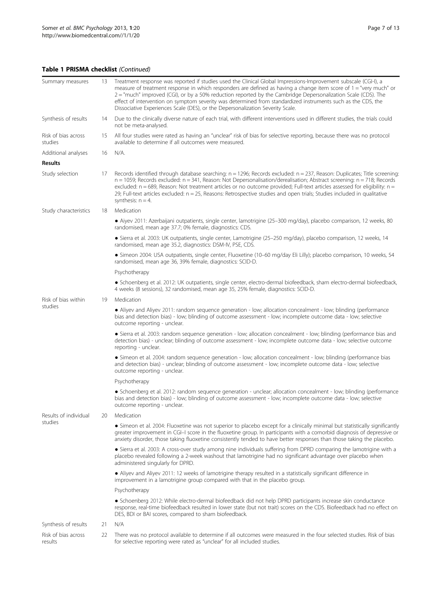## Table 1 PRISMA checklist (Continued)

| Summary measures               | 13 | Treatment response was reported if studies used the Clinical Global Impressions-Improvement subscale (CGI-I), a<br>measure of treatment response in which responders are defined as having a change item score of $1 =$ "very much" or<br>2 = "much" improved (CGI), or by a 50% reduction reported by the Cambridge Depersonalization Scale (CDS). The<br>effect of intervention on symptom severity was determined from standardized instruments such as the CDS, the<br>Dissociative Experiences Scale (DES), or the Depersonalization Severity Scale. |  |  |  |  |  |  |
|--------------------------------|----|-----------------------------------------------------------------------------------------------------------------------------------------------------------------------------------------------------------------------------------------------------------------------------------------------------------------------------------------------------------------------------------------------------------------------------------------------------------------------------------------------------------------------------------------------------------|--|--|--|--|--|--|
| Synthesis of results           | 14 | Due to the clinically diverse nature of each trial, with different interventions used in different studies, the trials could<br>not be meta-analysed.                                                                                                                                                                                                                                                                                                                                                                                                     |  |  |  |  |  |  |
| Risk of bias across<br>studies | 15 | All four studies were rated as having an "unclear" risk of bias for selective reporting, because there was no protocol<br>available to determine if all outcomes were measured.                                                                                                                                                                                                                                                                                                                                                                           |  |  |  |  |  |  |
| Additional analyses            | 16 | N/A.                                                                                                                                                                                                                                                                                                                                                                                                                                                                                                                                                      |  |  |  |  |  |  |
| <b>Results</b>                 |    |                                                                                                                                                                                                                                                                                                                                                                                                                                                                                                                                                           |  |  |  |  |  |  |
| Study selection                | 17 | Records identified through database searching: $n = 1296$ ; Records excluded: $n = 237$ , Reason: Duplicates; Title screening:<br>$n = 1059$ ; Records excluded: $n = 341$ , Reason: Not Depersonalisation/derealisation; Abstract screening: $n = 718$ ; Records<br>excluded: $n = 689$ , Reason: Not treatment articles or no outcome provided; Full-text articles assessed for eligibility: $n =$<br>29; Full-text articles excluded: n = 25, Reasons: Retrospective studies and open trials; Studies included in qualitative<br>synthesis: $n = 4$ .  |  |  |  |  |  |  |
| Study characteristics          | 18 | Medication                                                                                                                                                                                                                                                                                                                                                                                                                                                                                                                                                |  |  |  |  |  |  |
|                                |    | · Aiyev 2011: Azerbaijani outpatients, single center, lamotrigine (25-300 mg/day), placebo comparison, 12 weeks, 80<br>randomised, mean age 37.7; 0% female, diagnostics: CDS.                                                                                                                                                                                                                                                                                                                                                                            |  |  |  |  |  |  |
|                                |    | • Sierra et al. 2003: UK outpatients, single center, Lamotrigine (25-250 mg/day), placebo comparison, 12 weeks, 14<br>randomised, mean age 35.2, diagnostics: DSM-IV, PSE, CDS.                                                                                                                                                                                                                                                                                                                                                                           |  |  |  |  |  |  |
|                                |    | · Simeon 2004: USA outpatients, single center, Fluoxetine (10-60 mg/day Eli Lilly); placebo comparison, 10 weeks, 54<br>randomised, mean age 36, 39% female, diagnostics: SCID-D.                                                                                                                                                                                                                                                                                                                                                                         |  |  |  |  |  |  |
|                                |    | Psychotherapy                                                                                                                                                                                                                                                                                                                                                                                                                                                                                                                                             |  |  |  |  |  |  |
|                                |    | • Schoenberg et al. 2012: UK outpatients, single center, electro-dermal biofeedback, sham electro-dermal biofeedback,<br>4 weeks (8 sessions), 32 randomised, mean age 35, 25% female, diagnostics: SCID-D.                                                                                                                                                                                                                                                                                                                                               |  |  |  |  |  |  |
| Risk of bias within            | 19 | Medication                                                                                                                                                                                                                                                                                                                                                                                                                                                                                                                                                |  |  |  |  |  |  |
| studies                        |    | • Aliyev and Aliyev 2011: random sequence generation - low; allocation concealment - low; blinding (performance<br>bias and detection bias) - low; blinding of outcome assessment - low; incomplete outcome data - low; selective<br>outcome reporting - unclear.                                                                                                                                                                                                                                                                                         |  |  |  |  |  |  |
|                                |    | • Sierra et al. 2003: random sequence generation - low; allocation concealment - low; blinding (performance bias and<br>detection bias) - unclear; blinding of outcome assessment - low; incomplete outcome data - low; selective outcome<br>reporting - unclear.                                                                                                                                                                                                                                                                                         |  |  |  |  |  |  |
|                                |    | • Simeon et al. 2004: random sequence generation - low; allocation concealment - low; blinding (performance bias<br>and detection bias) - unclear; blinding of outcome assessment - low; incomplete outcome data - low; selective<br>outcome reporting - unclear.                                                                                                                                                                                                                                                                                         |  |  |  |  |  |  |
|                                |    | Psychotherapy                                                                                                                                                                                                                                                                                                                                                                                                                                                                                                                                             |  |  |  |  |  |  |
|                                |    | • Schoenberg et al. 2012: random sequence generation - unclear; allocation concealment - low; blinding (performance<br>bias and detection bias) - low; blinding of outcome assessment - low; incomplete outcome data - low; selective<br>outcome reporting - unclear.                                                                                                                                                                                                                                                                                     |  |  |  |  |  |  |
| Results of individual          | 20 | Medication                                                                                                                                                                                                                                                                                                                                                                                                                                                                                                                                                |  |  |  |  |  |  |
| studies                        |    | • Simeon et al. 2004: Fluoxetine was not superior to placebo except for a clinically minimal but statistically significantly<br>greater improvement in CGI-I score in the fluoxetine group. In participants with a comorbid diagnosis of depressive or<br>anxiety disorder, those taking fluoxetine consistently tended to have better responses than those taking the placebo.                                                                                                                                                                           |  |  |  |  |  |  |
|                                |    | • Sierra et al. 2003: A cross-over study among nine individuals suffering from DPRD comparing the lamotrigine with a<br>placebo revealed following a 2-week washout that lamotrigine had no significant advantage over placebo when<br>administered singularly for DPRD.                                                                                                                                                                                                                                                                                  |  |  |  |  |  |  |
|                                |    | • Aliyev and Aliyev 2011: 12 weeks of lamotrigine therapy resulted in a statistically significant difference in<br>improvement in a lamotrigine group compared with that in the placebo group.                                                                                                                                                                                                                                                                                                                                                            |  |  |  |  |  |  |
|                                |    | Psychotherapy                                                                                                                                                                                                                                                                                                                                                                                                                                                                                                                                             |  |  |  |  |  |  |
|                                |    | • Schoenberg 2012: While electro-dermal biofeedback did not help DPRD participants increase skin conductance<br>response, real-time biofeedback resulted in lower state (but not trait) scores on the CDS. Biofeedback had no effect on<br>DES, BDI or BAI scores, compared to sham biofeedback.                                                                                                                                                                                                                                                          |  |  |  |  |  |  |
| Synthesis of results           | 21 | N/A                                                                                                                                                                                                                                                                                                                                                                                                                                                                                                                                                       |  |  |  |  |  |  |
| Risk of bias across<br>results | 22 | There was no protocol available to determine if all outcomes were measured in the four selected studies. Risk of bias<br>for selective reporting were rated as "unclear" for all included studies.                                                                                                                                                                                                                                                                                                                                                        |  |  |  |  |  |  |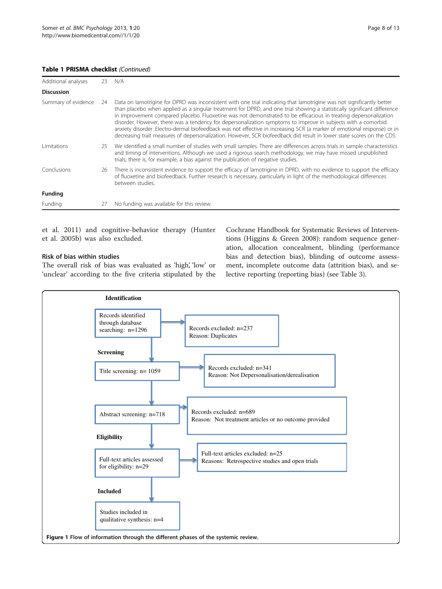## <span id="page-7-0"></span>Table 1 PRISMA checklist (Continued)

| Additional analyses | 23  | N/A                                                                                                                                                                                                                                                                                                                                                                                                                                                                                                                                                                                                                                                                                                                                        |
|---------------------|-----|--------------------------------------------------------------------------------------------------------------------------------------------------------------------------------------------------------------------------------------------------------------------------------------------------------------------------------------------------------------------------------------------------------------------------------------------------------------------------------------------------------------------------------------------------------------------------------------------------------------------------------------------------------------------------------------------------------------------------------------------|
| <b>Discussion</b>   |     |                                                                                                                                                                                                                                                                                                                                                                                                                                                                                                                                                                                                                                                                                                                                            |
| Summary of evidence | -24 | Data on lamotrigine for DPRD was inconsistent with one trial indicating that lamotrigine was not significantly better<br>than placebo when applied as a singular treatment for DPRD, and one trial showing a statistically significant difference<br>in improvement compared placebo. Fluoxetine was not demonstrated to be efficacious in treating depersonalization<br>disorder. However, there was a tendency for depersonalization symptoms to improve in subjects with a comorbid<br>anxiety disorder. Electro-dermal biofeedback was not effective in increasing SCR (a marker of emotional response) or in<br>decreasing trait measures of depersonalization. However, SCR biofeedback did result in lower state scores on the CDS. |
| <i>l</i> imitations | 25  | We identified a small number of studies with small samples. There are differences across trials in sample characteristics<br>and timing of interventions. Although we used a rigorous search methodology, we may have missed unpublished<br>trials; there is, for example, a bias against the publication of negative studies.                                                                                                                                                                                                                                                                                                                                                                                                             |
| Conclusions         | 26  | There is inconsistent evidence to support the efficacy of lamotrigine in DPRD, with no evidence to support the efficacy<br>of fluoxetine and biofeedback. Further research is necessary, particularly in light of the methodological differences<br>between studies.                                                                                                                                                                                                                                                                                                                                                                                                                                                                       |
| <b>Funding</b>      |     |                                                                                                                                                                                                                                                                                                                                                                                                                                                                                                                                                                                                                                                                                                                                            |
| Funding             | 27  | No funding was available for this review.                                                                                                                                                                                                                                                                                                                                                                                                                                                                                                                                                                                                                                                                                                  |

et al. [2011](#page-11-0)) and cognitive-behavior therapy ([Hunter](#page-11-0) [et al. 2005b\)](#page-11-0) was also excluded.

## Risk of bias within studies

The overall risk of bias was evaluated as 'high', 'low' or 'unclear' according to the five criteria stipulated by the

Cochrane Handbook for Systematic Reviews of Interventions ([Higgins & Green 2008\)](#page-11-0): random sequence generation, allocation concealment, blinding (performance bias and detection bias), blinding of outcome assessment, incomplete outcome data (attrition bias), and selective reporting (reporting bias) (see Table [3\)](#page-9-0).

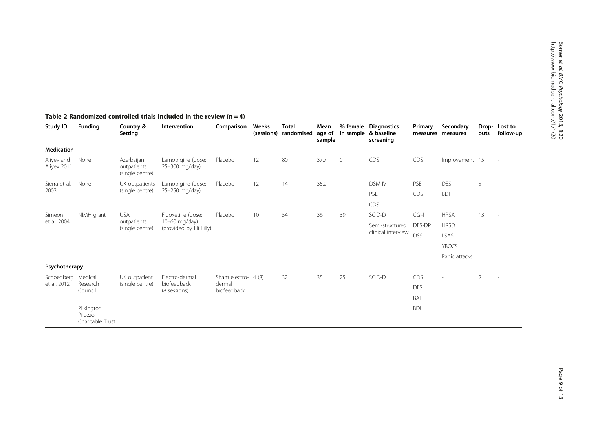| Study ID                  | <b>Funding</b>                            | Country &<br>Setting                         | Intervention                                                  | Comparison                                   | Weeks<br>(sessions) | <b>Total</b><br>randomised | Mean<br>age of<br>sample | % female    | <b>Diagnostics</b><br>in sample & baseline<br>screening | Primary    | Secondary<br>measures measures | Drop-<br>outs | Lost to<br>follow-up |
|---------------------------|-------------------------------------------|----------------------------------------------|---------------------------------------------------------------|----------------------------------------------|---------------------|----------------------------|--------------------------|-------------|---------------------------------------------------------|------------|--------------------------------|---------------|----------------------|
| <b>Medication</b>         |                                           |                                              |                                                               |                                              |                     |                            |                          |             |                                                         |            |                                |               |                      |
| Aliyev and<br>Aliyev 2011 | None                                      | Azerbaijan<br>outpatients<br>(single centre) | Lamotrigine (dose:<br>25-300 mg/day)                          | Placebo                                      | 12                  | 80                         | 37.7                     | $\mathbf 0$ | CDS                                                     | CDS        | Improvement 15                 |               | $\sim$               |
| Sierra et al.<br>2003     | None                                      | UK outpatients<br>(single centre)            | Lamotrigine (dose:<br>25-250 mg/day)                          | Placebo                                      | 12                  | 14                         | 35.2                     |             | DSM-IV                                                  | PSE        | <b>DES</b>                     | 5             | ٠                    |
|                           |                                           |                                              |                                                               |                                              |                     |                            |                          |             | PSE                                                     | <b>CDS</b> | <b>BDI</b>                     |               |                      |
|                           |                                           |                                              |                                                               |                                              |                     |                            |                          |             | <b>CDS</b>                                              |            |                                |               |                      |
| Simeon<br>et al. 2004     | NIMH grant                                | <b>USA</b><br>outpatients<br>(single centre) | Fluoxetine (dose:<br>10-60 mg/day)<br>(provided by Eli Lilly) | Placebo                                      | 10                  | 54                         | 36                       | 39          | SCID-D                                                  | $CGI-I$    | <b>HRSA</b>                    | 13            |                      |
|                           |                                           |                                              |                                                               |                                              |                     |                            |                          |             | Semi-structured<br>clinical interview                   | DES-DP     | <b>HRSD</b>                    |               |                      |
|                           |                                           |                                              |                                                               |                                              |                     |                            |                          |             |                                                         | <b>DSS</b> | LSAS                           |               |                      |
|                           |                                           |                                              |                                                               |                                              |                     |                            |                          |             |                                                         |            | <b>YBOCS</b>                   |               |                      |
|                           |                                           |                                              |                                                               |                                              |                     |                            |                          |             |                                                         |            | Panic attacks                  |               |                      |
| Psychotherapy             |                                           |                                              |                                                               |                                              |                     |                            |                          |             |                                                         |            |                                |               |                      |
| Schoenberg Medical        | Research<br>Council                       | UK outpatient<br>(single centre)             | Electro-dermal<br>biofeedback<br>(8 sessions)                 | Sham electro- 4 (8)<br>dermal<br>biofeedback |                     | 32                         | 35                       | 25          | SCID-D                                                  | CDS        |                                | 2             |                      |
| et al. 2012               |                                           |                                              |                                                               |                                              |                     |                            |                          |             |                                                         | <b>DES</b> |                                |               |                      |
|                           |                                           |                                              |                                                               |                                              |                     |                            |                          |             |                                                         | BAI        |                                |               |                      |
|                           | Pilkington<br>Pilozzo<br>Charitable Trust |                                              |                                                               |                                              |                     |                            |                          |             |                                                         | <b>BDI</b> |                                |               |                      |

## <span id="page-8-0"></span>Table 2 Randomized controlled trials included in the review  $(n = 4)$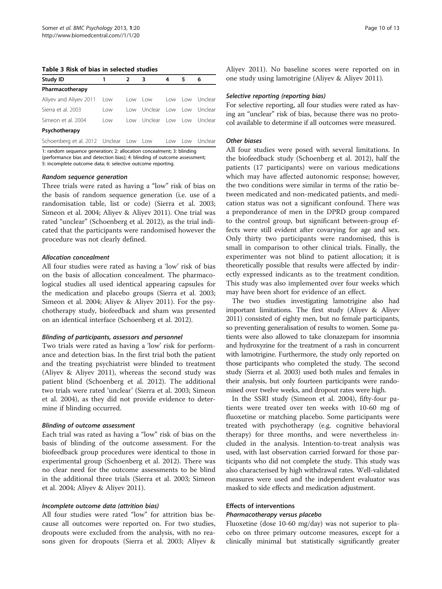<span id="page-9-0"></span>Table 3 Risk of bias in selected studies

| Study ID                               |      | $2^{\circ}$ | 3                       | 4                                                | 5    | 6           |
|----------------------------------------|------|-------------|-------------------------|--------------------------------------------------|------|-------------|
| Pharmacotherapy                        |      |             |                         |                                                  |      |             |
| Aliyev and Aliyev 2011                 | Low  | l ow        | l ow                    | l ow                                             |      | Tow Unclear |
| Sierra et al. 2003                     | l ow | l ow        | Unclear                 | low                                              |      | Tow Unclear |
| Simeon et al. 2004                     | l ow | l ow        | Unclear Low Low Unclear |                                                  |      |             |
| Psychotherapy                          |      |             |                         |                                                  |      |             |
| Schoenberg et al. 2012 Unclear Low Low |      |             |                         | Low                                              | l ow | Unclear     |
|                                        |      |             |                         | $\sim$ $\sim$ $\sim$ $\sim$ $\sim$ $\sim$ $\sim$ |      |             |

1: random sequence generation; 2: allocation concealment; 3: blinding (performance bias and detection bias); 4: blinding of outcome assessment; 5: incomplete outcome data; 6: selective outcome reporting.

#### Random sequence generation

Three trials were rated as having a "low" risk of bias on the basis of random sequence generation (i.e. use of a randomisation table, list or code) (Sierra et al. [2003](#page-12-0); Simeon et al. [2004;](#page-12-0) Aliyev & Aliyev [2011](#page-11-0)). One trial was rated "unclear" (Schoenberg et al. [2012\)](#page-12-0), as the trial indicated that the participants were randomised however the procedure was not clearly defined.

#### Allocation concealment

All four studies were rated as having a 'low' risk of bias on the basis of allocation concealment. The pharmacological studies all used identical appearing capsules for the medication and placebo groups (Sierra et al. [2003](#page-12-0); Simeon et al. [2004](#page-12-0); Aliyev & Aliyev [2011](#page-11-0)). For the psychotherapy study, biofeedback and sham was presented on an identical interface (Schoenberg et al. [2012\)](#page-12-0).

#### Blinding of participants, assessors and personnel

Two trials were rated as having a 'low' risk for performance and detection bias. In the first trial both the patient and the treating psychiatrist were blinded to treatment (Aliyev & Aliyev [2011](#page-11-0)), whereas the second study was patient blind (Schoenberg et al. [2012](#page-12-0)). The additional two trials were rated 'unclear' (Sierra et al. [2003;](#page-12-0) Simeon et al. [2004](#page-12-0)), as they did not provide evidence to determine if blinding occurred.

#### Blinding of outcome assessment

Each trial was rated as having a "low" risk of bias on the basis of blinding of the outcome assessment. For the biofeedback group procedures were identical to those in experimental group (Schoenberg et al. [2012\)](#page-12-0). There was no clear need for the outcome assessments to be blind in the additional three trials (Sierra et al. [2003;](#page-12-0) Simeon et al. [2004;](#page-12-0) Aliyev & Aliyev [2011](#page-11-0)).

#### Incomplete outcome data (attrition bias)

All four studies were rated "low" for attrition bias because all outcomes were reported on. For two studies, dropouts were excluded from the analysis, with no reasons given for dropouts (Sierra et al. [2003](#page-12-0); Aliyev & Aliyev [2011\)](#page-11-0). No baseline scores were reported on in one study using lamotrigine (Aliyev & Aliyev [2011\)](#page-11-0).

#### Selective reporting (reporting bias)

For selective reporting, all four studies were rated as having an "unclear" risk of bias, because there was no protocol available to determine if all outcomes were measured.

#### Other biases

All four studies were posed with several limitations. In the biofeedback study (Schoenberg et al. [2012\)](#page-12-0), half the patients (17 participants) were on various medications which may have affected autonomic response; however, the two conditions were similar in terms of the ratio between medicated and non-medicated patients, and medication status was not a significant confound. There was a preponderance of men in the DPRD group compared to the control group, but significant between-group effects were still evident after covarying for age and sex. Only thirty two participants were randomised, this is small in comparison to other clinical trials. Finally, the experimenter was not blind to patient allocation; it is theoretically possible that results were affected by indirectly expressed indicants as to the treatment condition. This study was also implemented over four weeks which may have been short for evidence of an effect.

The two studies investigating lamotrigine also had important limitations. The first study (Aliyev & Aliyev [2011\)](#page-11-0) consisted of eighty men, but no female participants, so preventing generalisation of results to women. Some patients were also allowed to take clonazepam for insomnia and hydroxyzine for the treatment of a rash in concurrent with lamotrigine. Furthermore, the study only reported on those participants who completed the study. The second study (Sierra et al. [2003\)](#page-12-0) used both males and females in their analysis, but only fourteen participants were randomised over twelve weeks, and dropout rates were high.

In the SSRI study (Simeon et al. [2004](#page-12-0)), fifty-four patients were treated over ten weeks with 10-60 mg of fluoxetine or matching placebo. Some participants were treated with psychotherapy (e.g. cognitive behavioral therapy) for three months, and were nevertheless included in the analysis. Intention-to-treat analysis was used, with last observation carried forward for those participants who did not complete the study. This study was also characterised by high withdrawal rates. Well-validated measures were used and the independent evaluator was masked to side effects and medication adjustment.

#### Effects of interventions

#### Pharmacotherapy versus placebo

Fluoxetine (dose 10-60 mg/day) was not superior to placebo on three primary outcome measures, except for a clinically minimal but statistically significantly greater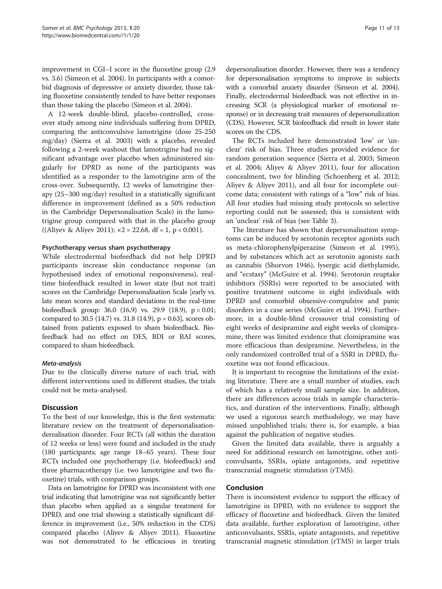improvement in CGI–I score in the fluoxetine group (2.9 vs. 3.6) (Simeon et al. [2004\)](#page-12-0). In participants with a comorbid diagnosis of depressive or anxiety disorder, those taking fluoxetine consistently tended to have better responses than those taking the placebo (Simeon et al. [2004\)](#page-12-0).

A 12-week double-blind, placebo-controlled, crossover study among nine individuals suffering from DPRD, comparing the anticonvulsive lamotrigine (dose 25-250 mg/day) (Sierra et al. [2003\)](#page-12-0) with a placebo, revealed following a 2-week washout that lamotrigine had no significant advantage over placebo when administered singularly for DPRD as none of the participants was identified as a responder to the lamotrigine arm of the cross-over. Subsequently, 12 weeks of lamotrigine therapy (25–300 mg/day) resulted in a statistically significant difference in improvement (defined as a 50% reduction in the Cambridge Depersonalisation Scale) in the lamotrigine group compared with that in the placebo group ((Aliyev & Aliyev [2011\)](#page-11-0);  $\times 2 = 22.68$ , df = 1, p < 0.001).

#### Psychotherapy versus sham psychotherapy

While electrodermal biofeedback did not help DPRD participants increase skin conductance response (an hypothesised index of emotional responsiveness), realtime biofeedback resulted in lower state (but not trait) scores on the Cambridge Depersonalisation Scale [early vs. late mean scores and standard deviations in the real-time biofeedback group: 36.0 (16.9) vs. 29.9 (18.9), p = 0.01; compared to 30.5 (14.7) vs. 31.8 (14.9),  $p = 0.63$ ], scores obtained from patients exposed to sham biofeedback. Biofeedback had no effect on DES, BDI or BAI scores, compared to sham biofeedback.

#### Meta-analysis

Due to the clinically diverse nature of each trial, with different interventions used in different studies, the trials could not be meta-analysed.

### **Discussion**

To the best of our knowledge, this is the first systematic literature review on the treatment of depersonalisationderealisation disorder. Four RCTs (all within the duration of 12 weeks or less) were found and included in the study (180 participants; age range 18–65 years). These four RCTs included one psychotherapy (i.e. biofeedback) and three pharmacotherapy (i.e. two lamotrigine and two fluoxetine) trials, with comparison groups.

Data on lamotrigine for DPRD was inconsistent with one trial indicating that lamotrigine was not significantly better than placebo when applied as a singular treatment for DPRD, and one trial showing a statistically significant difference in improvement (i.e., 50% reduction in the CDS) compared placebo (Aliyev & Aliyev [2011](#page-11-0)). Fluoxetine was not demonstrated to be efficacious in treating

depersonalisation disorder. However, there was a tendency for depersonalisation symptoms to improve in subjects with a comorbid anxiety disorder (Simeon et al. [2004](#page-12-0)). Finally, electrodermal biofeedback was not effective in increasing SCR (a physiological marker of emotional response) or in decreasing trait measures of depersonalization (CDS). However, SCR biofeedback did result in lower state scores on the CDS.

The RCTs included here demonstrated 'low' or 'unclear' risk of bias. Three studies provided evidence for random generation sequence (Sierra et al. [2003](#page-12-0); Simeon et al. [2004;](#page-12-0) Aliyev & Aliyev [2011](#page-11-0)), four for allocation concealment, two for blinding (Schoenberg et al. [2012](#page-12-0); Aliyev & Aliyev [2011](#page-11-0)), and all four for incomplete outcome data; consistent with ratings of a "low" risk of bias. All four studies had missing study protocols so selective reporting could not be assessed; this is consistent with an 'unclear' risk of bias (see Table [3](#page-9-0)).

The literature has shown that depersonalisation symptoms can be induced by serotonin receptor agonists such as meta-chlorophenylpiperazine (Simeon et al. [1995](#page-12-0)), and by substances which act as serotonin agonists such as cannabis (Shorvon [1946\)](#page-12-0), lysergic acid diethylamide, and "ecstasy" (McGuire et al. [1994](#page-11-0)). Serotonin reuptake inhibitors (SSRIs) were reported to be associated with positive treatment outcome in eight individuals with DPRD and comorbid obsessive-compulsive and panic disorders in a case series (McGuire et al. [1994\)](#page-11-0). Furthermore, in a double-blind crossover trial consisting of eight weeks of desipramine and eight weeks of clomipramine, there was limited evidence that clomipramine was more efficacious than desipramine. Nevertheless, in the only randomized controlled trial of a SSRI in DPRD, fluoxetine was not found efficacious.

It is important to recognise the limitations of the existing literature. There are a small number of studies, each of which has a relatively small sample size. In addition, there are differences across trials in sample characteristics, and duration of the interventions. Finally, although we used a rigorous search methodology, we may have missed unpublished trials; there is, for example, a bias against the publication of negative studies.

Given the limited data available, there is arguably a need for additional research on lamotrigine, other anticonvulsants, SSRIs, opiate antagonists, and repetitive transcranial magnetic stimulation (rTMS).

#### Conclusion

There is inconsistent evidence to support the efficacy of lamotrigine in DPRD, with no evidence to support the efficacy of fluoxetine and biofeedback. Given the limited data available, further exploration of lamotrigine, other anticonvulsants, SSRIs, opiate antagonists, and repetitive transcranial magnetic stimulation (rTMS) in larger trials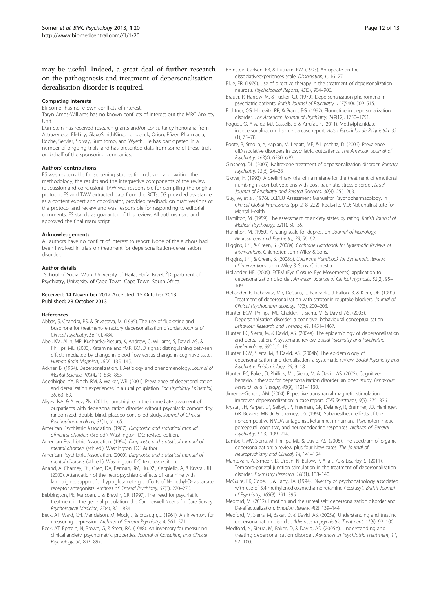## <span id="page-11-0"></span>may be useful. Indeed, a great deal of further research on the pathogenesis and treatment of depersonalisationderealisation disorder is required.

#### Competing interests

Eli Somer has no known conflicts of interest.

Taryn Amos-Williams has no known conflicts of interest out the MRC Anxiety Unit.

Dan Stein has received research grants and/or consultancy honoraria from Astrazeneca, Eli-Lilly, GlaxoSmithKline, Lundbeck, Orion, Pfizer, Pharmacia, Roche, Servier, Solvay, Sumitomo, and Wyeth. He has participated in a number of ongoing trials, and has presented data from some of these trials on behalf of the sponsoring companies.

#### Authors' contributions

ES was responsible for screening studies for inclusion and writing the methodology, the results and the interpretive components of the review (discussion and conclusion). TAW was responsible for compiling the original protocol. ES and TAW extracted data from the RCTs. DS provided assistance as a content expert and coordinator, provided feedback on draft versions of the protocol and review and was responsible for responding to editorial comments. ES stands as guarantor of this review. All authors read and approved the final manuscript.

#### Acknowledgements

All authors have no conflict of interest to report. None of the authors had been involved in trials on treatment for depersonalisation-derealisation disorder.

#### Author details

<sup>1</sup>School of Social Work, University of Haifa, Haifa, Israel. <sup>2</sup>Department of Psychiatry, University of Cape Town, Cape Town, South Africa.

#### Received: 14 November 2012 Accepted: 15 October 2013 Published: 28 October 2013

#### References

- Abbas, S, Chandra, PS, & Srivastava, M. (1995). The use of fluoxetine and buspirone for treatment-refractory depersonalization disorder. Journal of Clinical Psychiatry, 56(10), 484.
- Abel, KM, Allin, MP, Kucharska-Pietura, K, Andrew, C, Williams, S, David, AS, & Phillips, ML. (2003). Ketamine and fMRI BOLD signal: distinguishing between effects mediated by change in blood flow versus change in cognitive state. Human Brain Mapping, 18(2), 135–145.
- Ackner, B. (1954). Depersonalization. I. Aetiology and phenomenology. Journal of Mental Science, 100(421), 838–853.
- Aderibigbe, YA, Bloch, RM, & Walker, WR. (2001). Prevalence of depersonalization and derealization experiences in a rural pouplation. Soc Psychiatry Epidemiol, 36, 63–69.
- Aliyev, NA, & Aliyev, ZN. (2011). Lamotrigine in the immediate treatment of outpatients with depersonalization disorder without psychiatric comorbidity: randomized, double-blind, placebo-controlled study. Journal of Clinical Psychopharmacology, 31(1), 61–65.
- American Psychiatric Association. (1987). Diagnostic and statistical manual ofmental disorders (3rd ed.). Washington, DC: revised edition.
- American Psychiatric Association. (1994). Diagnostic and statistical manual of mental disorders (4th ed.). Washington, DC: Author.
- American Psychiatric Association. (2000). Diagnostic and statistical manual of mental disorders (4th ed.). Washington, DC: text rev. edition.
- Anand, A, Charney, DS, Oren, DA, Berman, RM, Hu, XS, Cappiello, A, & Krystal, JH. (2000). Attenuation of the neuropsychiatric effects of ketamine with lamotrigine: support for hyperglutamatergic effects of N-methyl-D- aspartate receptor antagonists. Archives of General Psychiatry, 57(3), 270–276.
- Bebbington, PE, Marsden, L, & Brewin, CR. (1997). The need for psychiatric treatment in the general population: the Camberwell Needs for Care Survey. Psychological Medicine, 27(4), 821–834.
- Beck, AT, Ward, CH, Mendelson, M, Mock, J, & Erbaugh, J. (1961). An inventory for measuring depression. Archives of General Psychiatry, 4, 561–571.
- Beck, AT, Epstein, N, Brown, G, & Steer, RA. (1988). An inventory for measuring clinical anxiety: psychometric properties. Journal of Consulting and Clinical Psychology, 56, 893–897.
- Bernstein-Carlson, EB, & Putnam, FW. (1993). An update on the dissociativeexperiences scale. Dissociation, 6, 16–27.
- Blue, FR. (1979). Use of directive therapy in the treatment of depersonalization neurosis. Psychological Reports, 45(3), 904–906.
- Brauer, R, Harrow, M, & Tucker, GJ. (1970). Depersonalization phenomena in psychiatric patients. British Journal of Psychiatry, 117(540), 509–515.
- Fichtner, CG, Horevitz, RP, & Braun, BG. (1992). Fluoxetine in depersonalization disorder. The American Journal of Psychiatry, 149(12), 1750–1751.
- Foguet, Q, Alvarez, MJ, Castells, E, & Arrufat, F. (2011). Methylphenidate indepersonalization disorder: a case report. Actas Españolas de Psiquiatría, 39 (1), 75–78.

Foote, B, Smolin, Y, Kaplan, M, Legatt, ME, & Lipschitz, D. (2006). Prevalence ofDissociative disorders in psychiatric outpatients. The American Journal of Psychiatry, 163(4), 6230–629.

- Ginsberg, DL. (2005). Naltrexone treatment of depersonalization disorder. Primary Psychiatry, 12(6), 24–28.
- Glover, H. (1993). A preliminary trial of nalmefene for the treatment of emotional numbing in combat veterans with post-traumatic stress disorder. Israel Journal of Psychiatry and Related Sciences, 30(4), 255–263.
- Guy, W, et al. (1976). ECDEU Assessment Manualfor Psychopharmacology. In Clinical Global Impressions (pp. 218–222). Rockville, MD: NationalInstitute for Mental Health.
- Hamilton, M. (1959). The assessment of anxiety states by rating. British Journal of Medical Psychology, 32(1), 50–55.
- Hamilton, M. (1960). A rating scale for depression. Journal of Neurology, Neurosurgery and Psychiatry, 23, 56–62.
- Higgins, JPT, & Green, S. (2008a). Cochrane Handbook for Systematic Reviews of Interventions. Chichester: John Wiley & Sons.
- Higgins, JPT, & Green, S. (2008b). Cochrane Handbook for Systematic Reviews of Interventions. John Wiley & Sons: Chichester.
- Hollander, HE. (2009). ECEM (Eye Closure, Eye Movements): application to depersonalization disorder. American Journal of Clinical Hypnosis, 52(2), 95– 109.
- Hollander, E, Liebowitz, MR, DeCaria, C, Fairbanks, J, Fallon, B, & Klein, DF. (1990). Treatment of depersonalization with serotonin reuptake blockers. Journal of Clinical Psychopharmacology, 10(3), 200–203.
- Hunter, ECM, Phillips, ML, Chalder, T, Sierra, M, & David, AS. (2003). Depersonalisation disorder: a cognitive–behavioural conceptualisation. Behaviour Research and Therapy, 41, 1451–1467.
- Hunter, EC, Sierra, M, & David, AS. (2004a). The epidemiology of depersonalisation and derealisation. A systematic review. Social Psychiatry and Psychiatric Epidemiology, 39(1), 9–18.
- Hunter, ECM, Sierra, M, & David, AS. (2004b). The epidemiology of depersonalisation and derealisation: a systematic review. Social Psychiatry and Psychiatric Epidemiology, 39, 9–18.
- Hunter, EC, Baker, D, Phillips, ML, Sierra, M, & David, AS. (2005). Cognitivebehaviour therapy for depersonalisation disorder: an open study. Behaviour Research and Therapy, 43(9), 1121–1130.

Jimenez-Genchi, AM. (2004). Repetitive transcranial magnetic stimulation improves depersonalization: a case report. CNS Spectrums, 9(5), 375–376.

Krystal, JH, Karper, LP, Seibyl, JP, Freeman, GK, Delaney, R, Bremner, JD, Heninger, GR, Bowers, MB, Jr, & Charney, DS. (1994). Subanesthetic effects of the noncompetitive NMDA antagonist, ketamine, in humans. Psychotomimetic, perceptual, cognitive, and neuroendocrine responses. Archives of General Psychiatry, 51(3), 199–214.

Lambert, MV, Sierra, M, Phillips, ML, & David, AS. (2005). The spectrum of organic depersonalization: a review plus four New cases. The Journal of Neuropsychiatry and Clinical, 14, 141–154.

- Mantovani, A, Simeon, D, Urban, N, Bulow, P, Allart, A, & Lisanby, S. (2011). Temporo-parietal junction stimulation in the treatment of depersonalization disorder. Psychiatry Research, 186(1), 138–140.
- McGuire, PK, Cope, H, & Fahy, TA. (1994). Diversity of psychopathology associated with use of 3,4-methylenedioxymethamphetamine ('Ecstasy'). British Journal of Psychiatry, 165(3), 391–395.
- Medford, M. (2012). Emotion and the unreal self: depersonalization disorder and De-affectualization. Emotion Review, 4(2), 139–144.
- Medford, M, Sierra, M, Baker, D, & David, AS. (2005a). Understanding and treating depersonalization disorder. Advances in psychiatric Treatment, 11(9), 92–100.
- Medford, N, Sierra, M, Baker, D, & David, AS. (2005b). Understanding and treating depersonalisation disorder. Advances in Psychiatric Treatment, 11, 92–100.